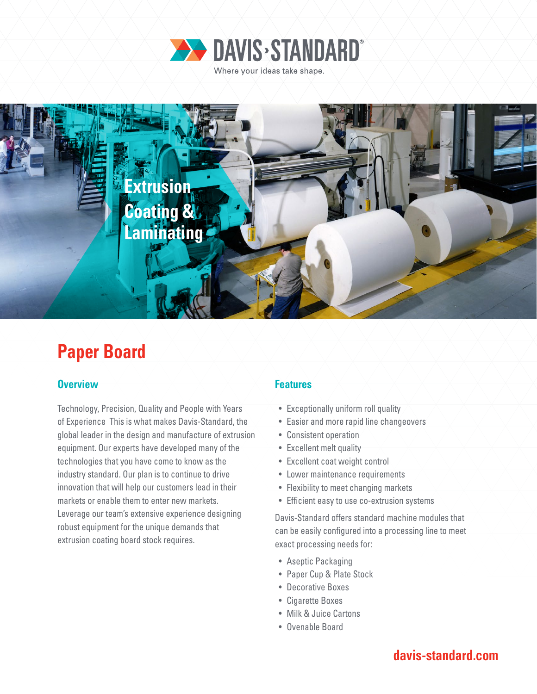



# **Paper Board**

### **Overview Features**

Technology, Precision, Quality and People with Years of Experience This is what makes Davis-Standard, the global leader in the design and manufacture of extrusion equipment. Our experts have developed many of the technologies that you have come to know as the industry standard. Our plan is to continue to drive innovation that will help our customers lead in their markets or enable them to enter new markets. Leverage our team's extensive experience designing robust equipment for the unique demands that extrusion coating board stock requires.

- Exceptionally uniform roll quality
- Easier and more rapid line changeovers
- Consistent operation
- Excellent melt quality
- Excellent coat weight control
- Lower maintenance requirements
- Flexibility to meet changing markets
- Efficient easy to use co-extrusion systems

Davis-Standard offers standard machine modules that can be easily configured into a processing line to meet exact processing needs for:

- Aseptic Packaging
- Paper Cup & Plate Stock
- Decorative Boxes
- Cigarette Boxes
- Milk & Juice Cartons
- Ovenable Board

## **davis-standard.com**